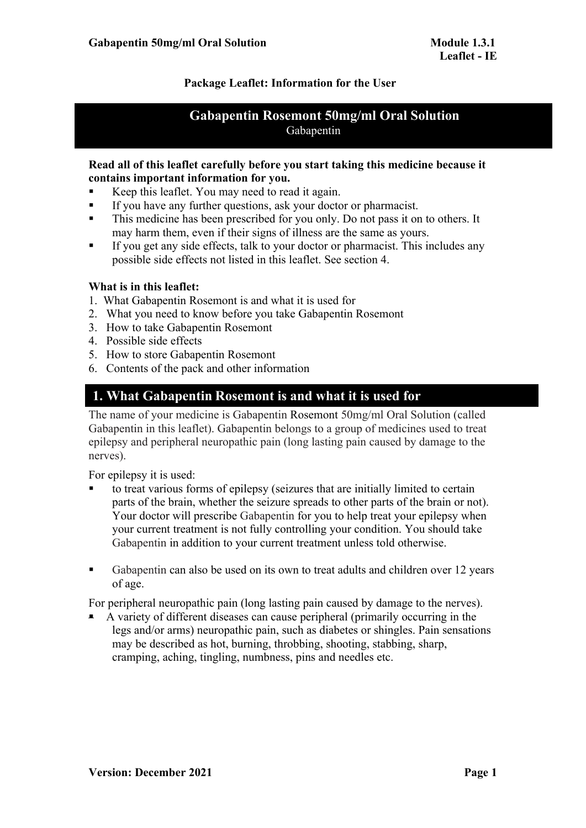# **Package Leaflet: Information for the User**

# **Gabapentin Rosemont 50mg/ml Oral Solution** Gabapentin

## **Read all of this leaflet carefully before you start taking this medicine because it contains important information for you.**

- Keep this leaflet. You may need to read it again.
- If you have any further questions, ask your doctor or pharmacist.
- This medicine has been prescribed for you only. Do not pass it on to others. It may harm them, even if their signs of illness are the same as yours.
- If you get any side effects, talk to your doctor or pharmacist. This includes any possible side effects not listed in this leaflet. See section 4.

# **What is in this leaflet:**

- 1. What Gabapentin Rosemont is and what it is used for
- 2. What you need to know before you take Gabapentin Rosemont
- 3. How to take Gabapentin Rosemont
- 4. Possible side effects
- 5. How to store Gabapentin Rosemont
- 6. Contents of the pack and other information

# **1. What Gabapentin Rosemont is and what it is used for**

The name of your medicine is Gabapentin Rosemont 50mg/ml Oral Solution (called Gabapentin in this leaflet). Gabapentin belongs to a group of medicines used to treat epilepsy and peripheral neuropathic pain (long lasting pain caused by damage to the nerves).

For epilepsy it is used:

- to treat various forms of epilepsy (seizures that are initially limited to certain parts of the brain, whether the seizure spreads to other parts of the brain or not). Your doctor will prescribe Gabapentin for you to help treat your epilepsy when your current treatment is not fully controlling your condition. You should take Gabapentin in addition to your current treatment unless told otherwise.
- Gabapentin can also be used on its own to treat adults and children over 12 years of age.

For peripheral neuropathic pain (long lasting pain caused by damage to the nerves).

 A variety of different diseases can cause peripheral (primarily occurring in the legs and/or arms) neuropathic pain, such as diabetes or shingles. Pain sensations may be described as hot, burning, throbbing, shooting, stabbing, sharp, cramping, aching, tingling, numbness, pins and needles etc.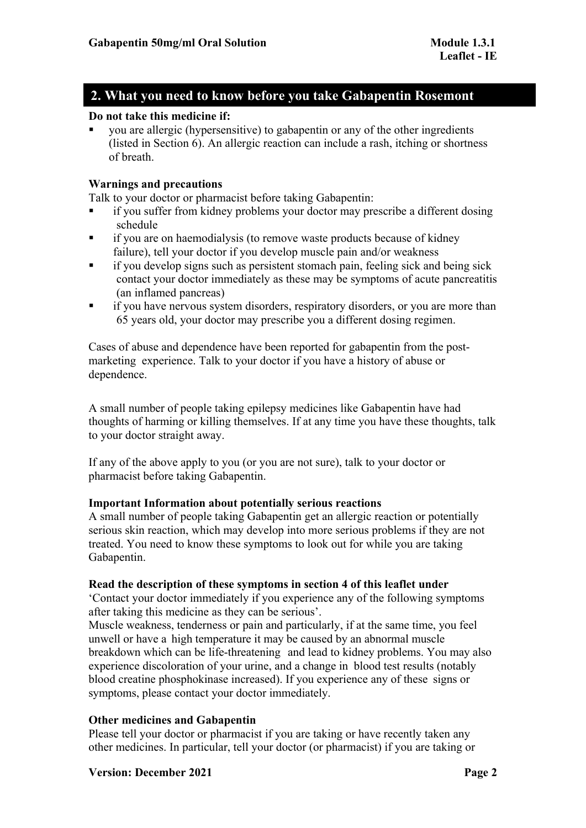# **2. What you need to know before you take Gabapentin Rosemont**

# **Do not take this medicine if:**

 you are allergic (hypersensitive) to gabapentin or any of the other ingredients (listed in Section 6). An allergic reaction can include a rash, itching or shortness of breath.

## **Warnings and precautions**

Talk to your doctor or pharmacist before taking Gabapentin:

- if you suffer from kidney problems your doctor may prescribe a different dosing schedule
- **i** if you are on haemodialysis (to remove waste products because of kidney failure), tell your doctor if you develop muscle pain and/or weakness
- if you develop signs such as persistent stomach pain, feeling sick and being sick contact your doctor immediately as these may be symptoms of acute pancreatitis (an inflamed pancreas)
- if you have nervous system disorders, respiratory disorders, or you are more than 65 years old, your doctor may prescribe you a different dosing regimen.

Cases of abuse and dependence have been reported for gabapentin from the postmarketing experience. Talk to your doctor if you have a history of abuse or dependence.

A small number of people taking epilepsy medicines like Gabapentin have had thoughts of harming or killing themselves. If at any time you have these thoughts, talk to your doctor straight away.

If any of the above apply to you (or you are not sure), talk to your doctor or pharmacist before taking Gabapentin.

## **Important Information about potentially serious reactions**

A small number of people taking Gabapentin get an allergic reaction or potentially serious skin reaction, which may develop into more serious problems if they are not treated. You need to know these symptoms to look out for while you are taking Gabapentin.

## **Read the description of these symptoms in section 4 of this leaflet under**

'Contact your doctor immediately if you experience any of the following symptoms after taking this medicine as they can be serious'.

Muscle weakness, tenderness or pain and particularly, if at the same time, you feel unwell or have a high temperature it may be caused by an abnormal muscle breakdown which can be life-threatening and lead to kidney problems. You may also experience discoloration of your urine, and a change in blood test results (notably blood creatine phosphokinase increased). If you experience any of these signs or symptoms, please contact your doctor immediately.

# **Other medicines and Gabapentin**

Please tell your doctor or pharmacist if you are taking or have recently taken any other medicines. In particular, tell your doctor (or pharmacist) if you are taking or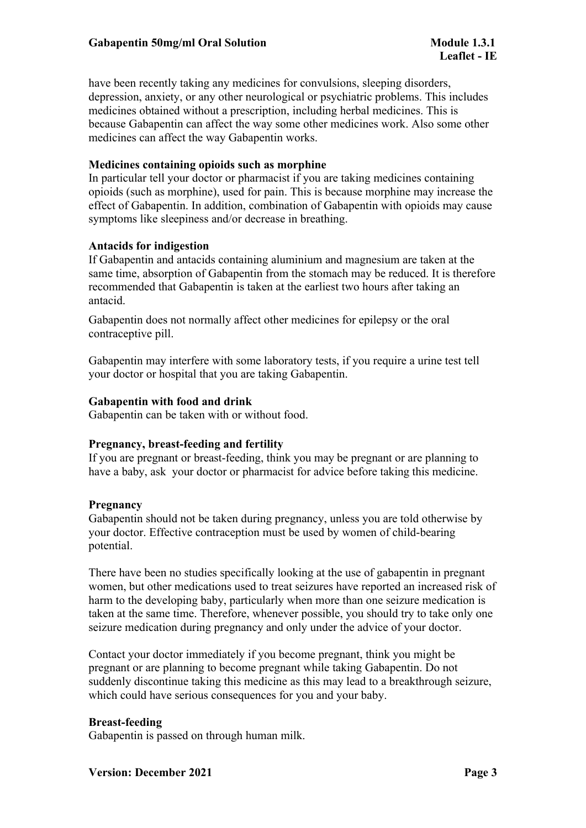have been recently taking any medicines for convulsions, sleeping disorders, depression, anxiety, or any other neurological or psychiatric problems. This includes medicines obtained without a prescription, including herbal medicines. This is because Gabapentin can affect the way some other medicines work. Also some other medicines can affect the way Gabapentin works.

## **Medicines containing opioids such as morphine**

In particular tell your doctor or pharmacist if you are taking medicines containing opioids (such as morphine), used for pain. This is because morphine may increase the effect of Gabapentin. In addition, combination of Gabapentin with opioids may cause symptoms like sleepiness and/or decrease in breathing.

## **Antacids for indigestion**

If Gabapentin and antacids containing aluminium and magnesium are taken at the same time, absorption of Gabapentin from the stomach may be reduced. It is therefore recommended that Gabapentin is taken at the earliest two hours after taking an antacid.

Gabapentin does not normally affect other medicines for epilepsy or the oral contraceptive pill.

Gabapentin may interfere with some laboratory tests, if you require a urine test tell your doctor or hospital that you are taking Gabapentin.

# **Gabapentin with food and drink**

Gabapentin can be taken with or without food.

# **Pregnancy, breast-feeding and fertility**

If you are pregnant or breast-feeding, think you may be pregnant or are planning to have a baby, ask your doctor or pharmacist for advice before taking this medicine.

## **Pregnancy**

Gabapentin should not be taken during pregnancy, unless you are told otherwise by your doctor. Effective contraception must be used by women of child-bearing potential.

There have been no studies specifically looking at the use of gabapentin in pregnant women, but other medications used to treat seizures have reported an increased risk of harm to the developing baby, particularly when more than one seizure medication is taken at the same time. Therefore, whenever possible, you should try to take only one seizure medication during pregnancy and only under the advice of your doctor.

Contact your doctor immediately if you become pregnant, think you might be pregnant or are planning to become pregnant while taking Gabapentin. Do not suddenly discontinue taking this medicine as this may lead to a breakthrough seizure, which could have serious consequences for you and your baby.

## **Breast-feeding**

Gabapentin is passed on through human milk.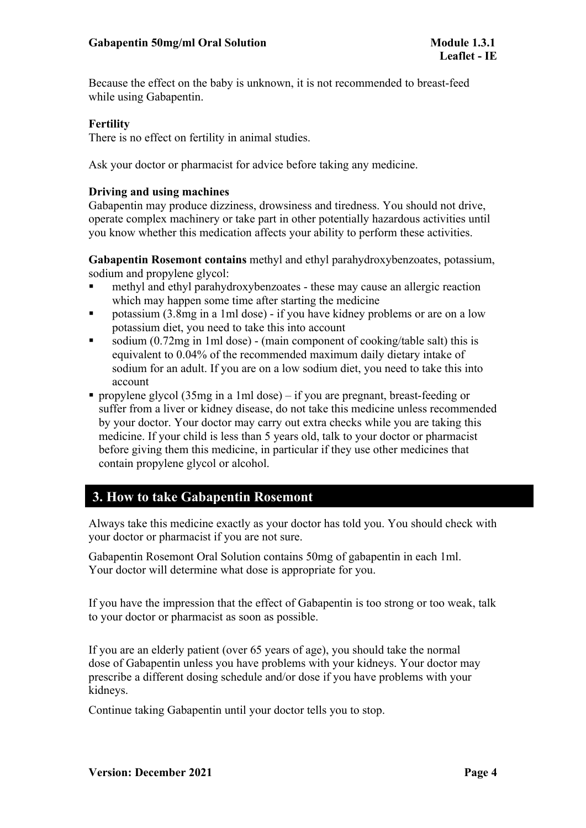Because the effect on the baby is unknown, it is not recommended to breast-feed while using Gabapentin.

## **Fertility**

There is no effect on fertility in animal studies.

Ask your doctor or pharmacist for advice before taking any medicine.

## **Driving and using machines**

Gabapentin may produce dizziness, drowsiness and tiredness. You should not drive, operate complex machinery or take part in other potentially hazardous activities until you know whether this medication affects your ability to perform these activities.

**Gabapentin Rosemont contains** methyl and ethyl parahydroxybenzoates, potassium, sodium and propylene glycol:

- methyl and ethyl parahydroxybenzoates these may cause an allergic reaction which may happen some time after starting the medicine
- potassium (3.8mg in a 1ml dose) if you have kidney problems or are on a low potassium diet, you need to take this into account
- sodium (0.72mg in 1ml dose) (main component of cooking/table salt) this is equivalent to 0.04% of the recommended maximum daily dietary intake of sodium for an adult. If you are on a low sodium diet, you need to take this into account
- propylene glycol (35mg in a 1ml dose) if you are pregnant, breast-feeding or suffer from a liver or kidney disease, do not take this medicine unless recommended by your doctor. Your doctor may carry out extra checks while you are taking this medicine. If your child is less than 5 years old, talk to your doctor or pharmacist before giving them this medicine, in particular if they use other medicines that contain propylene glycol or alcohol.

# **3. How to take Gabapentin Rosemont**

Always take this medicine exactly as your doctor has told you. You should check with your doctor or pharmacist if you are not sure.

Gabapentin Rosemont Oral Solution contains 50mg of gabapentin in each 1ml. Your doctor will determine what dose is appropriate for you.

If you have the impression that the effect of Gabapentin is too strong or too weak, talk to your doctor or pharmacist as soon as possible.

If you are an elderly patient (over 65 years of age), you should take the normal dose of Gabapentin unless you have problems with your kidneys. Your doctor may prescribe a different dosing schedule and/or dose if you have problems with your kidneys.

Continue taking Gabapentin until your doctor tells you to stop.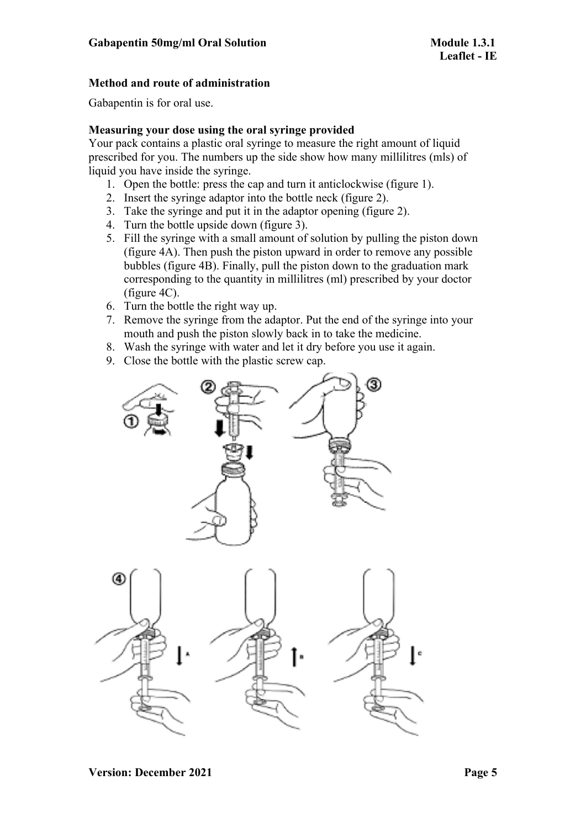# **Method and route of administration**

Gabapentin is for oral use.

# **Measuring your dose using the oral syringe provided**

Your pack contains a plastic oral syringe to measure the right amount of liquid prescribed for you. The numbers up the side show how many millilitres (mls) of liquid you have inside the syringe.

- 1. Open the bottle: press the cap and turn it anticlockwise (figure 1).
- 2. Insert the syringe adaptor into the bottle neck (figure 2).
- 3. Take the syringe and put it in the adaptor opening (figure 2).
- 4. Turn the bottle upside down (figure 3).
- 5. Fill the syringe with a small amount of solution by pulling the piston down (figure 4A). Then push the piston upward in order to remove any possible bubbles (figure 4B). Finally, pull the piston down to the graduation mark corresponding to the quantity in millilitres (ml) prescribed by your doctor (figure 4C).
- 6. Turn the bottle the right way up.
- 7. Remove the syringe from the adaptor. Put the end of the syringe into your mouth and push the piston slowly back in to take the medicine.
- 8. Wash the syringe with water and let it dry before you use it again.
- 9. Close the bottle with the plastic screw cap.

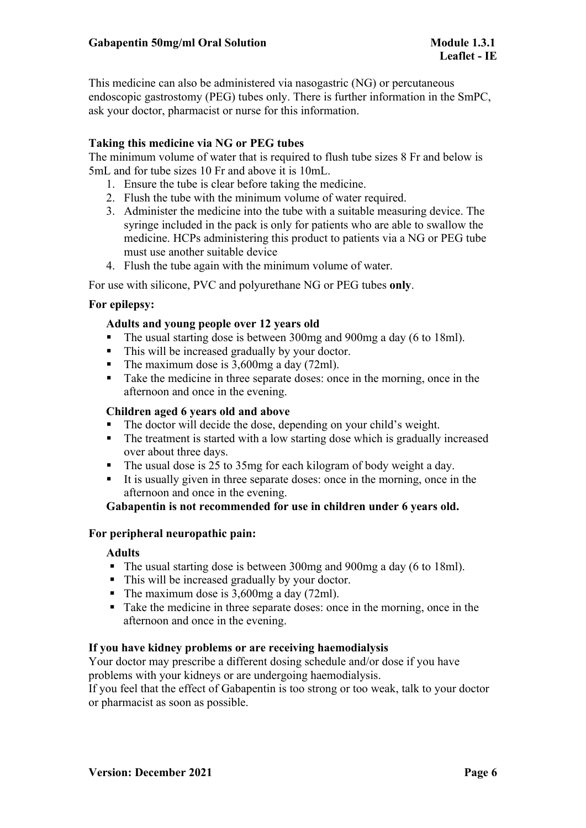This medicine can also be administered via nasogastric (NG) or percutaneous endoscopic gastrostomy (PEG) tubes only. There is further information in the SmPC, ask your doctor, pharmacist or nurse for this information.

# **Taking this medicine via NG or PEG tubes**

The minimum volume of water that is required to flush tube sizes 8 Fr and below is 5mL and for tube sizes 10 Fr and above it is 10mL.

- 1. Ensure the tube is clear before taking the medicine.
- 2. Flush the tube with the minimum volume of water required.
- 3. Administer the medicine into the tube with a suitable measuring device. The syringe included in the pack is only for patients who are able to swallow the medicine. HCPs administering this product to patients via a NG or PEG tube must use another suitable device
- 4. Flush the tube again with the minimum volume of water.

For use with silicone, PVC and polyurethane NG or PEG tubes **only**.

# **For epilepsy:**

# **Adults and young people over 12 years old**

- The usual starting dose is between 300mg and 900mg a day (6 to 18ml).
- This will be increased gradually by your doctor.
- The maximum dose is  $3,600$  mg a day (72ml).
- Take the medicine in three separate doses: once in the morning, once in the afternoon and once in the evening.

## **Children aged 6 years old and above**

- The doctor will decide the dose, depending on your child's weight.
- The treatment is started with a low starting dose which is gradually increased over about three days.
- The usual dose is 25 to 35mg for each kilogram of body weight a day.
- It is usually given in three separate doses: once in the morning, once in the afternoon and once in the evening.

# **Gabapentin is not recommended for use in children under 6 years old.**

## **For peripheral neuropathic pain:**

## **Adults**

- The usual starting dose is between 300mg and 900mg a day (6 to 18ml).
- This will be increased gradually by your doctor.
- The maximum dose is 3,600mg a day (72ml).
- Take the medicine in three separate doses: once in the morning, once in the afternoon and once in the evening.

## **If you have kidney problems or are receiving haemodialysis**

Your doctor may prescribe a different dosing schedule and/or dose if you have problems with your kidneys or are undergoing haemodialysis.

If you feel that the effect of Gabapentin is too strong or too weak, talk to your doctor or pharmacist as soon as possible.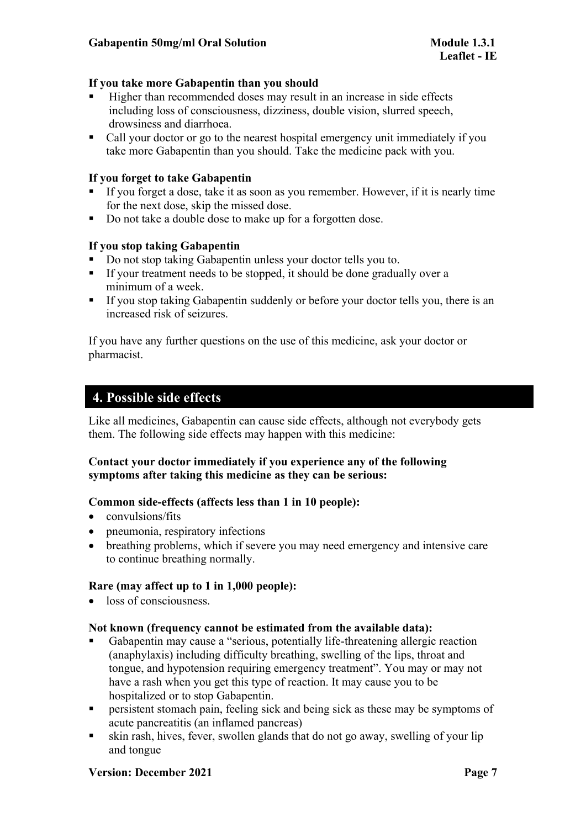# **If you take more Gabapentin than you should**

- Higher than recommended doses may result in an increase in side effects including loss of consciousness, dizziness, double vision, slurred speech, drowsiness and diarrhoea.
- Call your doctor or go to the nearest hospital emergency unit immediately if you take more Gabapentin than you should. Take the medicine pack with you.

# **If you forget to take Gabapentin**

- If you forget a dose, take it as soon as you remember. However, if it is nearly time for the next dose, skip the missed dose.
- Do not take a double dose to make up for a forgotten dose.

# **If you stop taking Gabapentin**

- Do not stop taking Gabapentin unless your doctor tells you to.
- If your treatment needs to be stopped, it should be done gradually over a minimum of a week.
- If you stop taking Gabapentin suddenly or before your doctor tells you, there is an increased risk of seizures.

If you have any further questions on the use of this medicine, ask your doctor or pharmacist.

# **4. Possible side effects**

Like all medicines, Gabapentin can cause side effects, although not everybody gets them. The following side effects may happen with this medicine:

# **Contact your doctor immediately if you experience any of the following symptoms after taking this medicine as they can be serious:**

## **Common side-effects (affects less than 1 in 10 people):**

- convulsions/fits
- pneumonia, respiratory infections
- breathing problems, which if severe you may need emergency and intensive care to continue breathing normally.

# **Rare (may affect up to 1 in 1,000 people):**

• loss of consciousness.

## **Not known (frequency cannot be estimated from the available data):**

- Gabapentin may cause a "serious, potentially life-threatening allergic reaction (anaphylaxis) including difficulty breathing, swelling of the lips, throat and tongue, and hypotension requiring emergency treatment". You may or may not have a rash when you get this type of reaction. It may cause you to be hospitalized or to stop Gabapentin.
- **Persistent stomach pain, feeling sick and being sick as these may be symptoms of** acute pancreatitis (an inflamed pancreas)
- skin rash, hives, fever, swollen glands that do not go away, swelling of your lip and tongue

## **Version: December 2021 Page 7**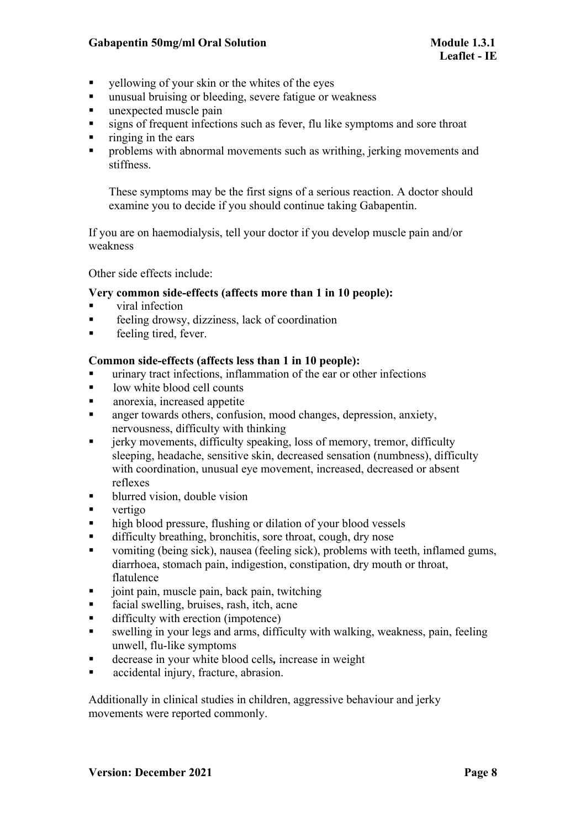## **Gabapentin 50mg/ml** Oral Solution **Module 1.3.1**

- $\blacksquare$  vellowing of your skin or the whites of the eyes
- unusual bruising or bleeding, severe fatigue or weakness
- **unexpected muscle pain**
- signs of frequent infections such as fever, flu like symptoms and sore throat
- $\blacksquare$  ringing in the ears
- **•** problems with abnormal movements such as writhing, jerking movements and stiffness.

These symptoms may be the first signs of a serious reaction. A doctor should examine you to decide if you should continue taking Gabapentin.

If you are on haemodialysis, tell your doctor if you develop muscle pain and/or weakness

Other side effects include:

## **Very common side-effects (affects more than 1 in 10 people):**

- viral infection
- feeling drowsy, dizziness, lack of coordination
- **feeling tired, fever.**

#### **Common side-effects (affects less than 1 in 10 people):**

- urinary tract infections, inflammation of the ear or other infections
- low white blood cell counts
- **a** anorexia, increased appetite
- anger towards others, confusion, mood changes, depression, anxiety, nervousness, difficulty with thinking
- **Fall in the increments, difficulty speaking, loss of memory, tremor, difficulty** sleeping, headache, sensitive skin, decreased sensation (numbness), difficulty with coordination, unusual eve movement, increased, decreased or absent reflexes
- blurred vision, double vision
- vertigo
- high blood pressure, flushing or dilation of your blood vessels
- difficulty breathing, bronchitis, sore throat, cough, dry nose
- vomiting (being sick), nausea (feeling sick), problems with teeth, inflamed gums, diarrhoea, stomach pain, indigestion, constipation, dry mouth or throat, flatulence
- joint pain, muscle pain, back pain, twitching
- facial swelling, bruises, rash, itch, acne
- difficulty with erection (impotence)
- swelling in your legs and arms, difficulty with walking, weakness, pain, feeling unwell, flu-like symptoms
- decrease in your white blood cells*,* increase in weight
- accidental injury, fracture, abrasion.

Additionally in clinical studies in children, aggressive behaviour and jerky movements were reported commonly.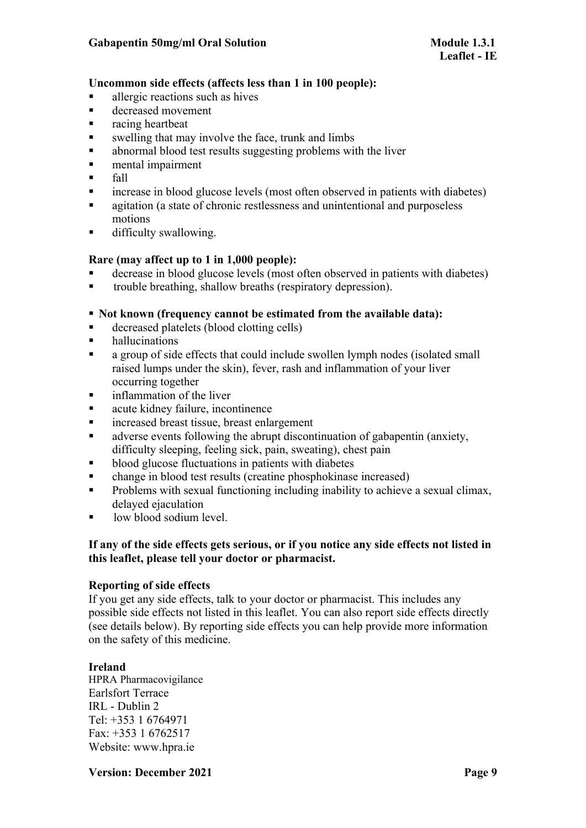# **Uncommon side effects (affects less than 1 in 100 people):**

- allergic reactions such as hives
- decreased movement
- racing heartbeat
- swelling that may involve the face, trunk and limbs
- abnormal blood test results suggesting problems with the liver
- **n** mental impairment
- $\blacksquare$  fall
- increase in blood glucose levels (most often observed in patients with diabetes)
- **a** agitation (a state of chronic restlessness and unintentional and purposeless motions
- **difficulty swallowing.**

## **Rare (may affect up to 1 in 1,000 people):**

- decrease in blood glucose levels (most often observed in patients with diabetes)
- trouble breathing, shallow breaths (respiratory depression).

# **Not known (frequency cannot be estimated from the available data):**

- decreased platelets (blood clotting cells)
- **hallucinations**
- a group of side effects that could include swollen lymph nodes (isolated small raised lumps under the skin), fever, rash and inflammation of your liver occurring together
- **inflammation of the liver**
- acute kidney failure, incontinence
- **Example 2** increased breast tissue, breast enlargement
- adverse events following the abrupt discontinuation of gabapentin (anxiety, difficulty sleeping, feeling sick, pain, sweating), chest pain
- **blood glucose fluctuations in patients with diabetes**
- change in blood test results (creatine phosphokinase increased)
- **Problems** with sexual functioning including inability to achieve a sexual climax, delayed ejaculation
- low blood sodium level.

# **If any of the side effects gets serious, or if you notice any side effects not listed in this leaflet, please tell your doctor or pharmacist.**

## **Reporting of side effects**

If you get any side effects, talk to your doctor or pharmacist. This includes any possible side effects not listed in this leaflet. You can also report side effects directly (see details below). By reporting side effects you can help provide more information on the safety of this medicine.

# **Ireland**

HPRA Pharmacovigilance Earlsfort Terrace IRL - Dublin 2 Tel: +353 1 6764971 Fax: +353 1 6762517 Website: www.hpra.ie

**Version: December 2021 Page 9**